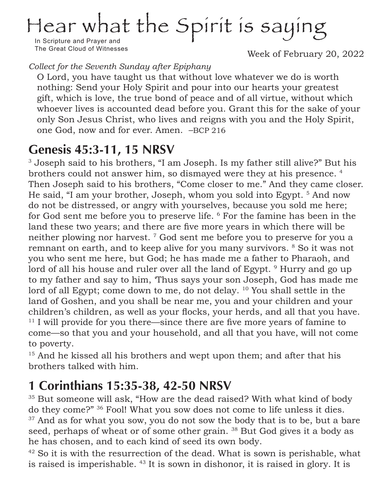# Hear what the Spirit is saying

In Scripture and Prayer and The Great Cloud of Witnesses

Week of February 20, 2022

*Collect for the Seventh Sunday after Epiphany*

O Lord, you have taught us that without love whatever we do is worth nothing: Send your Holy Spirit and pour into our hearts your greatest gift, which is love, the true bond of peace and of all virtue, without which whoever lives is accounted dead before you. Grant this for the sake of your only Son Jesus Christ, who lives and reigns with you and the Holy Spirit, one God, now and for ever. Amen. –BCP 216

# **Genesis 45:3-11, 15 NRSV**

<sup>3</sup> Joseph said to his brothers, "I am Joseph. Is my father still alive?" But his brothers could not answer him, so dismayed were they at his presence. 4 Then Joseph said to his brothers, "Come closer to me." And they came closer. He said, "I am your brother, Joseph, whom you sold into Egypt.<sup>5</sup> And now do not be distressed, or angry with yourselves, because you sold me here; for God sent me before you to preserve life. 6 For the famine has been in the land these two years; and there are five more years in which there will be neither plowing nor harvest.<sup>7</sup> God sent me before you to preserve for you a remnant on earth, and to keep alive for you many survivors. 8 So it was not you who sent me here, but God; he has made me a father to Pharaoh, and lord of all his house and ruler over all the land of Egypt.<sup>9</sup> Hurry and go up to my father and say to him, 'Thus says your son Joseph, God has made me lord of all Egypt; come down to me, do not delay. <sup>10</sup> You shall settle in the land of Goshen, and you shall be near me, you and your children and your children's children, as well as your flocks, your herds, and all that you have. <sup>11</sup> I will provide for you there—since there are five more years of famine to come—so that you and your household, and all that you have, will not come to poverty.

<sup>15</sup> And he kissed all his brothers and wept upon them; and after that his brothers talked with him.

# **1 Corinthians 15:35-38, 42-50 NRSV**

<sup>35</sup> But someone will ask, "How are the dead raised? With what kind of body do they come?" 36 Fool! What you sow does not come to life unless it dies. <sup>37</sup> And as for what you sow, you do not sow the body that is to be, but a bare seed, perhaps of wheat or of some other grain. <sup>38</sup> But God gives it a body as he has chosen, and to each kind of seed its own body.

 $42$  So it is with the resurrection of the dead. What is sown is perishable, what is raised is imperishable. 43 It is sown in dishonor, it is raised in glory. It is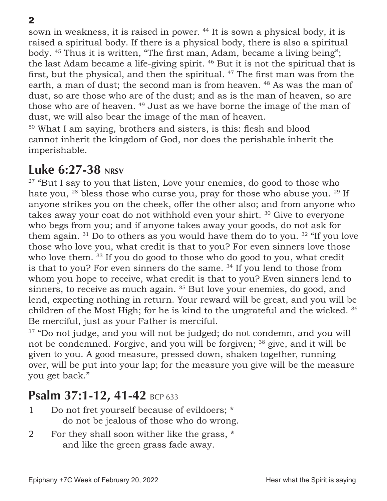sown in weakness, it is raised in power. 44 It is sown a physical body, it is raised a spiritual body. If there is a physical body, there is also a spiritual body. 45 Thus it is written, "The first man, Adam, became a living being"; the last Adam became a life-giving spirit. 46 But it is not the spiritual that is first, but the physical, and then the spiritual. <sup>47</sup> The first man was from the earth, a man of dust; the second man is from heaven. <sup>48</sup> As was the man of dust, so are those who are of the dust; and as is the man of heaven, so are those who are of heaven. 49 Just as we have borne the image of the man of dust, we will also bear the image of the man of heaven.

<sup>50</sup> What I am saying, brothers and sisters, is this: flesh and blood cannot inherit the kingdom of God, nor does the perishable inherit the imperishable.

## **Luke 6:27-38 NRSV**

 $27$  "But I say to you that listen, Love your enemies, do good to those who hate you,  $^{28}$  bless those who curse you, pray for those who abuse you.  $^{29}$  If anyone strikes you on the cheek, offer the other also; and from anyone who takes away your coat do not withhold even your shirt. 30 Give to everyone who begs from you; and if anyone takes away your goods, do not ask for them again.  $31$  Do to others as you would have them do to you.  $32$  "If you love those who love you, what credit is that to you? For even sinners love those who love them. <sup>33</sup> If you do good to those who do good to you, what credit is that to you? For even sinners do the same.  $34$  If you lend to those from whom you hope to receive, what credit is that to you? Even sinners lend to sinners, to receive as much again.<sup>35</sup> But love your enemies, do good, and lend, expecting nothing in return. Your reward will be great, and you will be children of the Most High; for he is kind to the ungrateful and the wicked. 36 Be merciful, just as your Father is merciful.

<sup>37</sup> "Do not judge, and you will not be judged; do not condemn, and you will not be condemned. Forgive, and you will be forgiven; 38 give, and it will be given to you. A good measure, pressed down, shaken together, running over, will be put into your lap; for the measure you give will be the measure you get back."

## **Psalm 37:1-12, 41-42 BCP 633**

- 1 Do not fret yourself because of evildoers; \* do not be jealous of those who do wrong.
- 2 For they shall soon wither like the grass, \* and like the green grass fade away.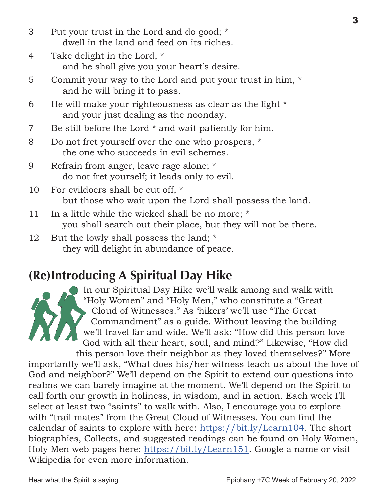- 3 Put your trust in the Lord and do good; \* dwell in the land and feed on its riches.
- 4 Take delight in the Lord, \* and he shall give you your heart's desire.
- 5 Commit your way to the Lord and put your trust in him, \* and he will bring it to pass.
- 6 He will make your righteousness as clear as the light \* and your just dealing as the noonday.
- 7 Be still before the Lord \* and wait patiently for him.
- 8 Do not fret yourself over the one who prospers, \* the one who succeeds in evil schemes.
- 9 Refrain from anger, leave rage alone; \* do not fret yourself; it leads only to evil.
- 10 For evildoers shall be cut off, \* but those who wait upon the Lord shall possess the land.
- 11 In a little while the wicked shall be no more; \* you shall search out their place, but they will not be there.
- 12 But the lowly shall possess the land; \* they will delight in abundance of peace.

# **(Re)Introducing A Spiritual Day Hike**

In our Spiritual Day Hike we'll walk among and walk with "Holy Women" and "Holy Men," who constitute a "Great Cloud of Witnesses." As 'hikers' we'll use "The Great Commandment" as a guide. Without leaving the building we'll travel far and wide. We'll ask: "How did this person love God with all their heart, soul, and mind?" Likewise, "How did

this person love their neighbor as they loved themselves?" More importantly we'll ask, "What does his/her witness teach us about the love of God and neighbor?" We'll depend on the Spirit to extend our questions into realms we can barely imagine at the moment. We'll depend on the Spirit to call forth our growth in holiness, in wisdom, and in action. Each week I'll select at least two "saints" to walk with. Also, I encourage you to explore with "trail mates" from the Great Cloud of Witnesses. You can find the calendar of saints to explore with here: [https://bit.ly/Learn104.](http://bit.ly/Learn104) The short biographies, Collects, and suggested readings can be found on Holy Women, Holy Men web pages here: [https://bit.ly/Learn1](https://bit.ly/Learn151)51. Google a name or visit Wikipedia for even more information.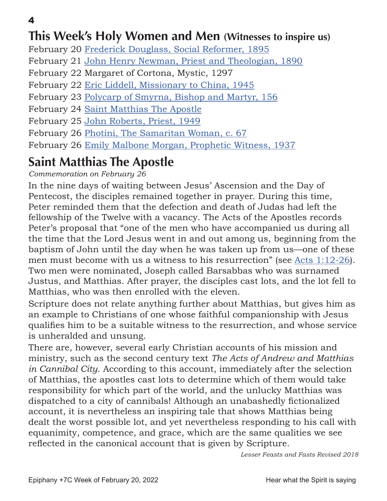## **This Week's Holy Women and Men (Witnesses to inspire us)**

February 20 [Frederick Douglass, Social Reformer, 1895](https://standingcommissiononliturgyandmusic.org/2011/02/20/february-20-frederick-douglass-prophetic-witness-1895/)

February 21 [John Henry Newman, Priest and Theologian, 1890](https://standingcommissiononliturgyandmusic.org/2011/02/21/february-21-john-henry-newman-priest-and-theologian-1890/)

February 22 Margaret of Cortona, Mystic, 1297

February 22 [Eric Liddell, Missionary to China, 1945](https://standingcommissiononliturgyandmusic.org/2011/02/22/february-22-eric-liddell-missionary-to-china-1945/)

February 23 [Polycarp of Smyrna, Bishop and Martyr, 156](https://standingcommissiononliturgyandmusic.org/2011/02/23/february-23-polycarp-bishop-and-martyr-of-smyrna-156/)

February 24 [Saint Matthias The Apostle](https://smecsundaymorningforum.files.wordpress.com/2022/02/0224-saint-matthias.pdf)

February 25 [John Roberts, Priest, 1949](https://standingcommissiononliturgyandmusic.org/2011/02/25/february-25-john-roberts-priest-1949/)

February 26 [Photini, The Samaritan Woman, c. 67](https://smecsundaymorningforum.files.wordpress.com/2022/02/0226-photini.pdf)

February 26 [Emily Malbone Morgan, Prophetic Witness, 1937](https://standingcommissiononliturgyandmusic.org/2011/02/26/february-26-emily-malbone-morgan-prophetic-witness-1937/)

# **Saint Matthias The Apostle**

*Commemoration on February 26*

In the nine days of waiting between Jesus' Ascension and the Day of Pentecost, the disciples remained together in prayer. During this time, Peter reminded them that the defection and death of Judas had left the fellowship of the Twelve with a vacancy. The Acts of the Apostles records Peter's proposal that "one of the men who have accompanied us during all the time that the Lord Jesus went in and out among us, beginning from the baptism of John until the day when he was taken up from us—one of these men must become with us a witness to his resurrection" (see [Acts 1:12-26\)](https://www.biblegateway.com/passage/?search=Acts+1%3A12-26&version=NRSV). Two men were nominated, Joseph called Barsabbas who was surnamed Justus, and Matthias. After prayer, the disciples cast lots, and the lot fell to Matthias, who was then enrolled with the eleven.

Scripture does not relate anything further about Matthias, but gives him as an example to Christians of one whose faithful companionship with Jesus qualifies him to be a suitable witness to the resurrection, and whose service is unheralded and unsung.

There are, however, several early Christian accounts of his mission and ministry, such as the second century text *The Acts of Andrew and Matthias in Cannibal City*. According to this account, immediately after the selection of Matthias, the apostles cast lots to determine which of them would take responsibility for which part of the world, and the unlucky Matthias was dispatched to a city of cannibals! Although an unabashedly fictionalized account, it is nevertheless an inspiring tale that shows Matthias being dealt the worst possible lot, and yet nevertheless responding to his call with equanimity, competence, and grace, which are the same qualities we see reflected in the canonical account that is given by Scripture.

*Lesser Feasts and Fasts Revised 2018*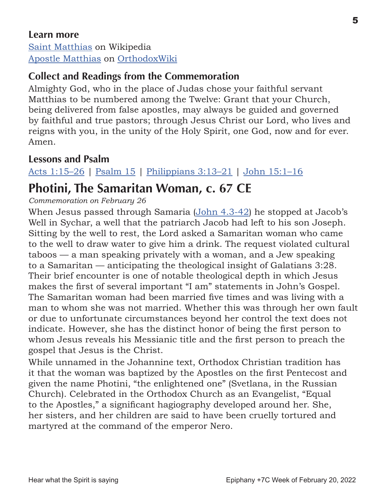#### **Learn more**

[Saint Matthias](https://orthodoxwiki.org/Main_Page) on Wikipedia [Apostle Matthias](https://orthodoxwiki.org/Apostle_Matthias) on [OrthodoxWiki](https://orthodoxwiki.org/Main_Page)

## **Collect and Readings from the Commemoration**

Almighty God, who in the place of Judas chose your faithful servant Matthias to be numbered among the Twelve: Grant that your Church, being delivered from false apostles, may always be guided and governed by faithful and true pastors; through Jesus Christ our Lord, who lives and reigns with you, in the unity of the Holy Spirit, one God, now and for ever. Amen.

#### **Lessons and Psalm**

[Acts 1:15–26](https://www.biblegateway.com/passage/?search=ps+119%3A33-40&version=NRSV) | [Psalm 15](http://www.lectionarypage.net/YearABC/HolyDays/Matthias.html#ps1) | [Philippians 3:13–21](http://www.lectionarypage.net/YearABC/HolyDays/Matthias.html#nt1) | [John 15:1–16](http://www.lectionarypage.net/YearABC/HolyDays/Matthias.html#gsp1)

## **Photini, The Samaritan Woman, c. 67 CE**

*Commemoration on February 26*

When Jesus passed through Samaria ([John 4.3-42](https://www.biblegateway.com/passage/?search=John+4.3-42&version=NRSV)) he stopped at Jacob's Well in Sychar, a well that the patriarch Jacob had left to his son Joseph. Sitting by the well to rest, the Lord asked a Samaritan woman who came to the well to draw water to give him a drink. The request violated cultural taboos — a man speaking privately with a woman, and a Jew speaking to a Samaritan — anticipating the theological insight of Galatians 3:28. Their brief encounter is one of notable theological depth in which Jesus makes the first of several important "I am" statements in John's Gospel. The Samaritan woman had been married five times and was living with a man to whom she was not married. Whether this was through her own fault or due to unfortunate circumstances beyond her control the text does not indicate. However, she has the distinct honor of being the first person to whom Jesus reveals his Messianic title and the first person to preach the gospel that Jesus is the Christ.

While unnamed in the Johannine text, Orthodox Christian tradition has it that the woman was baptized by the Apostles on the first Pentecost and given the name Photini, "the enlightened one" (Svetlana, in the Russian Church). Celebrated in the Orthodox Church as an Evangelist, "Equal to the Apostles," a significant hagiography developed around her. She, her sisters, and her children are said to have been cruelly tortured and martyred at the command of the emperor Nero.